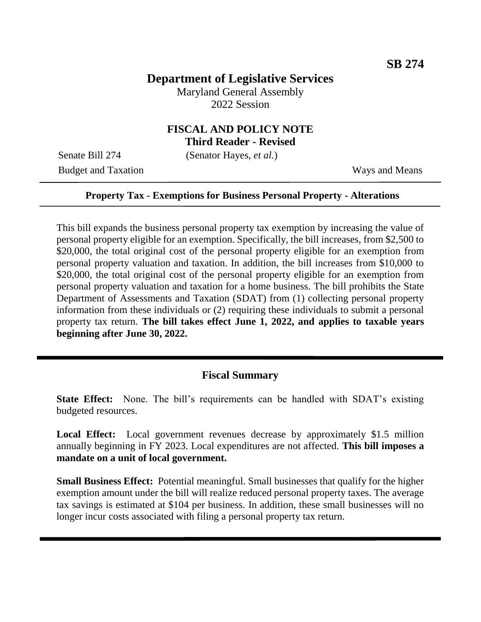# **Department of Legislative Services**

Maryland General Assembly 2022 Session

## **FISCAL AND POLICY NOTE Third Reader - Revised**

Senate Bill 274 (Senator Hayes, *et al.*)

Budget and Taxation Ways and Means

### **Property Tax - Exemptions for Business Personal Property - Alterations**

This bill expands the business personal property tax exemption by increasing the value of personal property eligible for an exemption. Specifically, the bill increases, from \$2,500 to \$20,000, the total original cost of the personal property eligible for an exemption from personal property valuation and taxation. In addition, the bill increases from \$10,000 to \$20,000, the total original cost of the personal property eligible for an exemption from personal property valuation and taxation for a home business. The bill prohibits the State Department of Assessments and Taxation (SDAT) from (1) collecting personal property information from these individuals or (2) requiring these individuals to submit a personal property tax return. **The bill takes effect June 1, 2022, and applies to taxable years beginning after June 30, 2022.**

## **Fiscal Summary**

**State Effect:** None. The bill's requirements can be handled with SDAT's existing budgeted resources.

Local Effect: Local government revenues decrease by approximately \$1.5 million annually beginning in FY 2023. Local expenditures are not affected. **This bill imposes a mandate on a unit of local government.**

**Small Business Effect:** Potential meaningful. Small businesses that qualify for the higher exemption amount under the bill will realize reduced personal property taxes. The average tax savings is estimated at \$104 per business. In addition, these small businesses will no longer incur costs associated with filing a personal property tax return.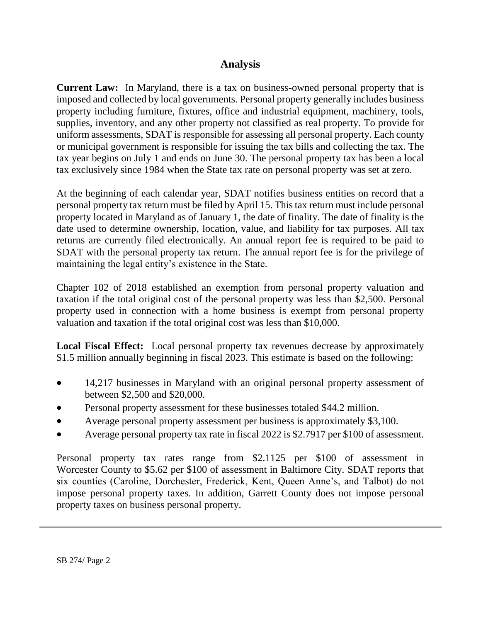# **Analysis**

**Current Law:** In Maryland, there is a tax on business-owned personal property that is imposed and collected by local governments. Personal property generally includes business property including furniture, fixtures, office and industrial equipment, machinery, tools, supplies, inventory, and any other property not classified as real property. To provide for uniform assessments, SDAT is responsible for assessing all personal property. Each county or municipal government is responsible for issuing the tax bills and collecting the tax. The tax year begins on July 1 and ends on June 30. The personal property tax has been a local tax exclusively since 1984 when the State tax rate on personal property was set at zero.

At the beginning of each calendar year, SDAT notifies business entities on record that a personal property tax return must be filed by April 15. This tax return must include personal property located in Maryland as of January 1, the date of finality. The date of finality is the date used to determine ownership, location, value, and liability for tax purposes. All tax returns are currently filed electronically. An annual report fee is required to be paid to SDAT with the personal property tax return. The annual report fee is for the privilege of maintaining the legal entity's existence in the State.

Chapter 102 of 2018 established an exemption from personal property valuation and taxation if the total original cost of the personal property was less than \$2,500. Personal property used in connection with a home business is exempt from personal property valuation and taxation if the total original cost was less than \$10,000.

**Local Fiscal Effect:** Local personal property tax revenues decrease by approximately \$1.5 million annually beginning in fiscal 2023. This estimate is based on the following:

- 14,217 businesses in Maryland with an original personal property assessment of between \$2,500 and \$20,000.
- Personal property assessment for these businesses totaled \$44.2 million.
- Average personal property assessment per business is approximately \$3,100.
- Average personal property tax rate in fiscal 2022 is \$2.7917 per \$100 of assessment.

Personal property tax rates range from \$2.1125 per \$100 of assessment in Worcester County to \$5.62 per \$100 of assessment in Baltimore City. SDAT reports that six counties (Caroline, Dorchester, Frederick, Kent, Queen Anne's, and Talbot) do not impose personal property taxes. In addition, Garrett County does not impose personal property taxes on business personal property.